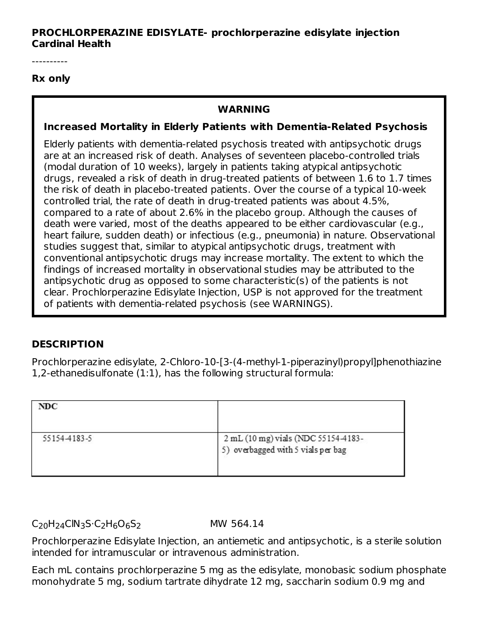#### **PROCHLORPERAZINE EDISYLATE- prochlorperazine edisylate injection Cardinal Health**

#### **Rx only**

#### **WARNING**

#### **Increased Mortality in Elderly Patients with Dementia-Related Psychosis**

Elderly patients with dementia-related psychosis treated with antipsychotic drugs are at an increased risk of death. Analyses of seventeen placebo-controlled trials (modal duration of 10 weeks), largely in patients taking atypical antipsychotic drugs, revealed a risk of death in drug-treated patients of between 1.6 to 1.7 times the risk of death in placebo-treated patients. Over the course of a typical 10-week controlled trial, the rate of death in drug-treated patients was about 4.5%, compared to a rate of about 2.6% in the placebo group. Although the causes of death were varied, most of the deaths appeared to be either cardiovascular (e.g., heart failure, sudden death) or infectious (e.g., pneumonia) in nature. Observational studies suggest that, similar to atypical antipsychotic drugs, treatment with conventional antipsychotic drugs may increase mortality. The extent to which the findings of increased mortality in observational studies may be attributed to the antipsychotic drug as opposed to some characteristic(s) of the patients is not clear. Prochlorperazine Edisylate Injection, USP is not approved for the treatment of patients with dementia-related psychosis (see WARNINGS).

#### **DESCRIPTION**

Prochlorperazine edisylate, 2-Chloro-10-[3-(4-methyl-1-piperazinyl)propyl]phenothiazine 1,2-ethanedisulfonate (1:1), has the following structural formula:

| NDC          |                                                                           |
|--------------|---------------------------------------------------------------------------|
| 55154-4183-5 | 2 mL (10 mg) vials (NDC 55154-4183-<br>5) overbagged with 5 vials per bag |

 $C_{20}H_{24}CH_{3}S \cdot C_{2}H_{6}O_{6}S_{2}$  MW 564.14

Prochlorperazine Edisylate Injection, an antiemetic and antipsychotic, is a sterile solution intended for intramuscular or intravenous administration.

Each mL contains prochlorperazine 5 mg as the edisylate, monobasic sodium phosphate monohydrate 5 mg, sodium tartrate dihydrate 12 mg, saccharin sodium 0.9 mg and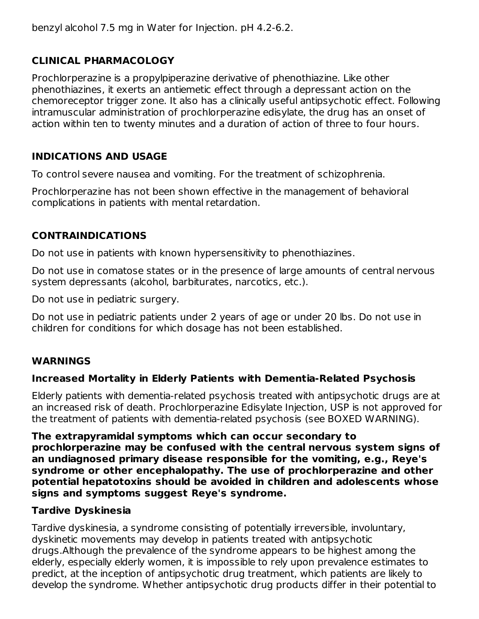benzyl alcohol 7.5 mg in Water for Injection. pH 4.2-6.2.

## **CLINICAL PHARMACOLOGY**

Prochlorperazine is a propylpiperazine derivative of phenothiazine. Like other phenothiazines, it exerts an antiemetic effect through a depressant action on the chemoreceptor trigger zone. It also has a clinically useful antipsychotic effect. Following intramuscular administration of prochlorperazine edisylate, the drug has an onset of action within ten to twenty minutes and a duration of action of three to four hours.

#### **INDICATIONS AND USAGE**

To control severe nausea and vomiting. For the treatment of schizophrenia.

Prochlorperazine has not been shown effective in the management of behavioral complications in patients with mental retardation.

## **CONTRAINDICATIONS**

Do not use in patients with known hypersensitivity to phenothiazines.

Do not use in comatose states or in the presence of large amounts of central nervous system depressants (alcohol, barbiturates, narcotics, etc.).

Do not use in pediatric surgery.

Do not use in pediatric patients under 2 years of age or under 20 lbs. Do not use in children for conditions for which dosage has not been established.

#### **WARNINGS**

#### **Increased Mortality in Elderly Patients with Dementia-Related Psychosis**

Elderly patients with dementia-related psychosis treated with antipsychotic drugs are at an increased risk of death. Prochlorperazine Edisylate Injection, USP is not approved for the treatment of patients with dementia-related psychosis (see BOXED WARNING).

**The extrapyramidal symptoms which can occur secondary to prochlorperazine may be confused with the central nervous system signs of an undiagnosed primary disease responsible for the vomiting, e.g., Reye's syndrome or other encephalopathy. The use of prochlorperazine and other potential hepatotoxins should be avoided in children and adolescents whose signs and symptoms suggest Reye's syndrome.**

#### **Tardive Dyskinesia**

Tardive dyskinesia, a syndrome consisting of potentially irreversible, involuntary, dyskinetic movements may develop in patients treated with antipsychotic drugs.Although the prevalence of the syndrome appears to be highest among the elderly, especially elderly women, it is impossible to rely upon prevalence estimates to predict, at the inception of antipsychotic drug treatment, which patients are likely to develop the syndrome. Whether antipsychotic drug products differ in their potential to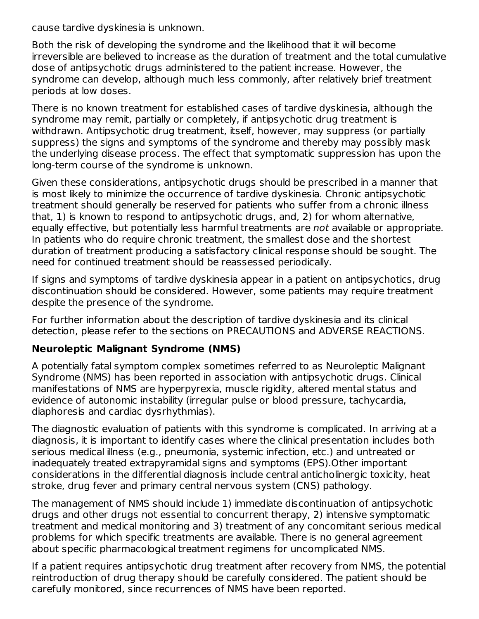cause tardive dyskinesia is unknown.

Both the risk of developing the syndrome and the likelihood that it will become irreversible are believed to increase as the duration of treatment and the total cumulative dose of antipsychotic drugs administered to the patient increase. However, the syndrome can develop, although much less commonly, after relatively brief treatment periods at low doses.

There is no known treatment for established cases of tardive dyskinesia, although the syndrome may remit, partially or completely, if antipsychotic drug treatment is withdrawn. Antipsychotic drug treatment, itself, however, may suppress (or partially suppress) the signs and symptoms of the syndrome and thereby may possibly mask the underlying disease process. The effect that symptomatic suppression has upon the long-term course of the syndrome is unknown.

Given these considerations, antipsychotic drugs should be prescribed in a manner that is most likely to minimize the occurrence of tardive dyskinesia. Chronic antipsychotic treatment should generally be reserved for patients who suffer from a chronic illness that, 1) is known to respond to antipsychotic drugs, and, 2) for whom alternative, equally effective, but potentially less harmful treatments are not available or appropriate. In patients who do require chronic treatment, the smallest dose and the shortest duration of treatment producing a satisfactory clinical response should be sought. The need for continued treatment should be reassessed periodically.

If signs and symptoms of tardive dyskinesia appear in a patient on antipsychotics, drug discontinuation should be considered. However, some patients may require treatment despite the presence of the syndrome.

For further information about the description of tardive dyskinesia and its clinical detection, please refer to the sections on PRECAUTIONS and ADVERSE REACTIONS.

#### **Neuroleptic Malignant Syndrome (NMS)**

A potentially fatal symptom complex sometimes referred to as Neuroleptic Malignant Syndrome (NMS) has been reported in association with antipsychotic drugs. Clinical manifestations of NMS are hyperpyrexia, muscle rigidity, altered mental status and evidence of autonomic instability (irregular pulse or blood pressure, tachycardia, diaphoresis and cardiac dysrhythmias).

The diagnostic evaluation of patients with this syndrome is complicated. In arriving at a diagnosis, it is important to identify cases where the clinical presentation includes both serious medical illness (e.g., pneumonia, systemic infection, etc.) and untreated or inadequately treated extrapyramidal signs and symptoms (EPS).Other important considerations in the differential diagnosis include central anticholinergic toxicity, heat stroke, drug fever and primary central nervous system (CNS) pathology.

The management of NMS should include 1) immediate discontinuation of antipsychotic drugs and other drugs not essential to concurrent therapy, 2) intensive symptomatic treatment and medical monitoring and 3) treatment of any concomitant serious medical problems for which specific treatments are available. There is no general agreement about specific pharmacological treatment regimens for uncomplicated NMS.

If a patient requires antipsychotic drug treatment after recovery from NMS, the potential reintroduction of drug therapy should be carefully considered. The patient should be carefully monitored, since recurrences of NMS have been reported.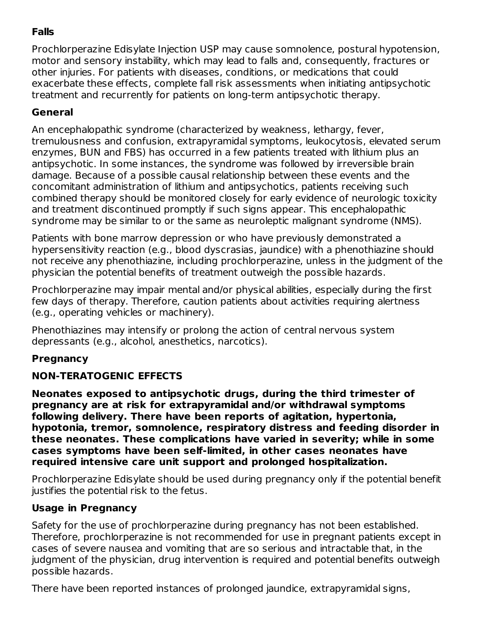#### **Falls**

Prochlorperazine Edisylate Injection USP may cause somnolence, postural hypotension, motor and sensory instability, which may lead to falls and, consequently, fractures or other injuries. For patients with diseases, conditions, or medications that could exacerbate these effects, complete fall risk assessments when initiating antipsychotic treatment and recurrently for patients on long-term antipsychotic therapy.

# **General**

An encephalopathic syndrome (characterized by weakness, lethargy, fever, tremulousness and confusion, extrapyramidal symptoms, leukocytosis, elevated serum enzymes, BUN and FBS) has occurred in a few patients treated with lithium plus an antipsychotic. In some instances, the syndrome was followed by irreversible brain damage. Because of a possible causal relationship between these events and the concomitant administration of lithium and antipsychotics, patients receiving such combined therapy should be monitored closely for early evidence of neurologic toxicity and treatment discontinued promptly if such signs appear. This encephalopathic syndrome may be similar to or the same as neuroleptic malignant syndrome (NMS).

Patients with bone marrow depression or who have previously demonstrated a hypersensitivity reaction (e.g., blood dyscrasias, jaundice) with a phenothiazine should not receive any phenothiazine, including prochlorperazine, unless in the judgment of the physician the potential benefits of treatment outweigh the possible hazards.

Prochlorperazine may impair mental and/or physical abilities, especially during the first few days of therapy. Therefore, caution patients about activities requiring alertness (e.g., operating vehicles or machinery).

Phenothiazines may intensify or prolong the action of central nervous system depressants (e.g., alcohol, anesthetics, narcotics).

# **Pregnancy**

# **NON-TERATOGENIC EFFECTS**

**Neonates exposed to antipsychotic drugs, during the third trimester of pregnancy are at risk for extrapyramidal and/or withdrawal symptoms following delivery. There have been reports of agitation, hypertonia, hypotonia, tremor, somnolence, respiratory distress and feeding disorder in these neonates. These complications have varied in severity; while in some cases symptoms have been self-limited, in other cases neonates have required intensive care unit support and prolonged hospitalization.**

Prochlorperazine Edisylate should be used during pregnancy only if the potential benefit justifies the potential risk to the fetus.

# **Usage in Pregnancy**

Safety for the use of prochlorperazine during pregnancy has not been established. Therefore, prochlorperazine is not recommended for use in pregnant patients except in cases of severe nausea and vomiting that are so serious and intractable that, in the judgment of the physician, drug intervention is required and potential benefits outweigh possible hazards.

There have been reported instances of prolonged jaundice, extrapyramidal signs,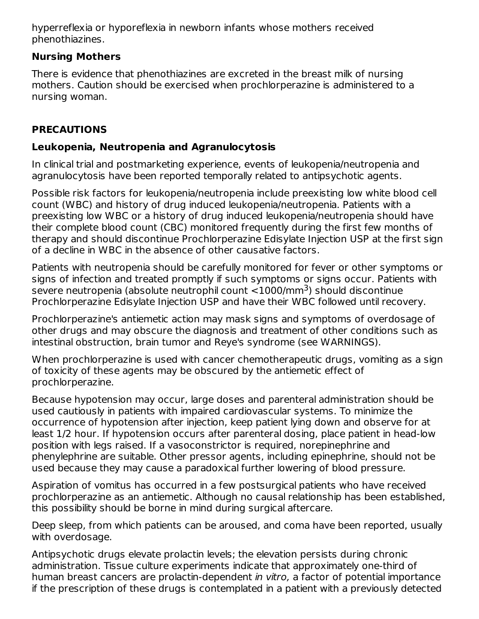hyperreflexia or hyporeflexia in newborn infants whose mothers received phenothiazines.

#### **Nursing Mothers**

There is evidence that phenothiazines are excreted in the breast milk of nursing mothers. Caution should be exercised when prochlorperazine is administered to a nursing woman.

## **PRECAUTIONS**

## **Leukopenia, Neutropenia and Agranulocytosis**

In clinical trial and postmarketing experience, events of leukopenia/neutropenia and agranulocytosis have been reported temporally related to antipsychotic agents.

Possible risk factors for leukopenia/neutropenia include preexisting low white blood cell count (WBC) and history of drug induced leukopenia/neutropenia. Patients with a preexisting low WBC or a history of drug induced leukopenia/neutropenia should have their complete blood count (CBC) monitored frequently during the first few months of therapy and should discontinue Prochlorperazine Edisylate Injection USP at the first sign of a decline in WBC in the absence of other causative factors.

Patients with neutropenia should be carefully monitored for fever or other symptoms or signs of infection and treated promptly if such symptoms or signs occur. Patients with severe neutropenia (absolute neutrophil count <1000/mm<sup>3</sup>) should discontinue Prochlorperazine Edisylate Injection USP and have their WBC followed until recovery.

Prochlorperazine's antiemetic action may mask signs and symptoms of overdosage of other drugs and may obscure the diagnosis and treatment of other conditions such as intestinal obstruction, brain tumor and Reye's syndrome (see WARNINGS).

When prochlorperazine is used with cancer chemotherapeutic drugs, vomiting as a sign of toxicity of these agents may be obscured by the antiemetic effect of prochlorperazine.

Because hypotension may occur, large doses and parenteral administration should be used cautiously in patients with impaired cardiovascular systems. To minimize the occurrence of hypotension after injection, keep patient lying down and observe for at least 1/2 hour. If hypotension occurs after parenteral dosing, place patient in head-low position with legs raised. If a vasoconstrictor is required, norepinephrine and phenylephrine are suitable. Other pressor agents, including epinephrine, should not be used because they may cause a paradoxical further lowering of blood pressure.

Aspiration of vomitus has occurred in a few postsurgical patients who have received prochlorperazine as an antiemetic. Although no causal relationship has been established, this possibility should be borne in mind during surgical aftercare.

Deep sleep, from which patients can be aroused, and coma have been reported, usually with overdosage.

Antipsychotic drugs elevate prolactin levels; the elevation persists during chronic administration. Tissue culture experiments indicate that approximately one-third of human breast cancers are prolactin-dependent *in vitro*, a factor of potential importance if the prescription of these drugs is contemplated in a patient with a previously detected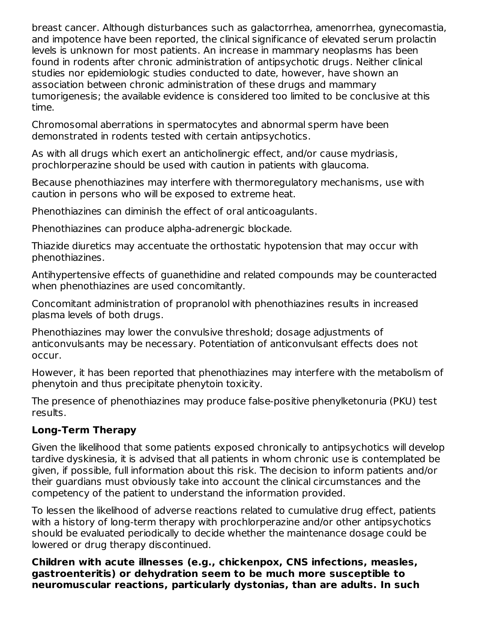breast cancer. Although disturbances such as galactorrhea, amenorrhea, gynecomastia, and impotence have been reported, the clinical significance of elevated serum prolactin levels is unknown for most patients. An increase in mammary neoplasms has been found in rodents after chronic administration of antipsychotic drugs. Neither clinical studies nor epidemiologic studies conducted to date, however, have shown an association between chronic administration of these drugs and mammary tumorigenesis; the available evidence is considered too limited to be conclusive at this time.

Chromosomal aberrations in spermatocytes and abnormal sperm have been demonstrated in rodents tested with certain antipsychotics.

As with all drugs which exert an anticholinergic effect, and/or cause mydriasis, prochlorperazine should be used with caution in patients with glaucoma.

Because phenothiazines may interfere with thermoregulatory mechanisms, use with caution in persons who will be exposed to extreme heat.

Phenothiazines can diminish the effect of oral anticoagulants.

Phenothiazines can produce alpha-adrenergic blockade.

Thiazide diuretics may accentuate the orthostatic hypotension that may occur with phenothiazines.

Antihypertensive effects of guanethidine and related compounds may be counteracted when phenothiazines are used concomitantly.

Concomitant administration of propranolol with phenothiazines results in increased plasma levels of both drugs.

Phenothiazines may lower the convulsive threshold; dosage adjustments of anticonvulsants may be necessary. Potentiation of anticonvulsant effects does not occur.

However, it has been reported that phenothiazines may interfere with the metabolism of phenytoin and thus precipitate phenytoin toxicity.

The presence of phenothiazines may produce false-positive phenylketonuria (PKU) test results.

## **Long-Term Therapy**

Given the likelihood that some patients exposed chronically to antipsychotics will develop tardive dyskinesia, it is advised that all patients in whom chronic use is contemplated be given, if possible, full information about this risk. The decision to inform patients and/or their guardians must obviously take into account the clinical circumstances and the competency of the patient to understand the information provided.

To lessen the likelihood of adverse reactions related to cumulative drug effect, patients with a history of long-term therapy with prochlorperazine and/or other antipsychotics should be evaluated periodically to decide whether the maintenance dosage could be lowered or drug therapy discontinued.

**Children with acute illnesses (e.g., chickenpox, CNS infections, measles, gastroenteritis) or dehydration seem to be much more susceptible to neuromuscular reactions, particularly dystonias, than are adults. In such**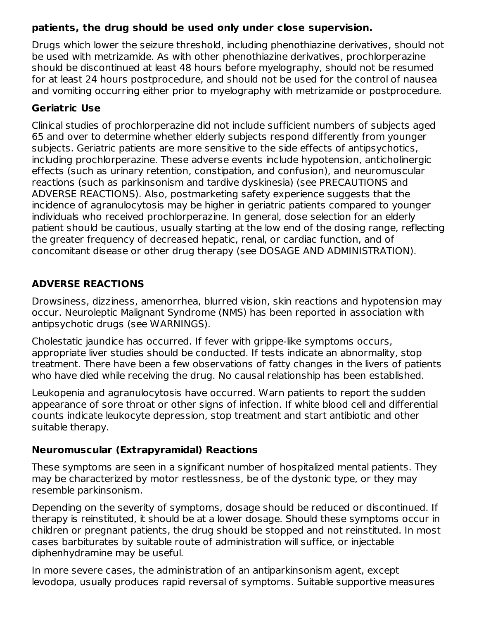## **patients, the drug should be used only under close supervision.**

Drugs which lower the seizure threshold, including phenothiazine derivatives, should not be used with metrizamide. As with other phenothiazine derivatives, prochlorperazine should be discontinued at least 48 hours before myelography, should not be resumed for at least 24 hours postprocedure, and should not be used for the control of nausea and vomiting occurring either prior to myelography with metrizamide or postprocedure.

## **Geriatric Use**

Clinical studies of prochlorperazine did not include sufficient numbers of subjects aged 65 and over to determine whether elderly subjects respond differently from younger subjects. Geriatric patients are more sensitive to the side effects of antipsychotics, including prochlorperazine. These adverse events include hypotension, anticholinergic effects (such as urinary retention, constipation, and confusion), and neuromuscular reactions (such as parkinsonism and tardive dyskinesia) (see PRECAUTIONS and ADVERSE REACTIONS). Also, postmarketing safety experience suggests that the incidence of agranulocytosis may be higher in geriatric patients compared to younger individuals who received prochlorperazine. In general, dose selection for an elderly patient should be cautious, usually starting at the low end of the dosing range, reflecting the greater frequency of decreased hepatic, renal, or cardiac function, and of concomitant disease or other drug therapy (see DOSAGE AND ADMINISTRATION).

## **ADVERSE REACTIONS**

Drowsiness, dizziness, amenorrhea, blurred vision, skin reactions and hypotension may occur. Neuroleptic Malignant Syndrome (NMS) has been reported in association with antipsychotic drugs (see WARNINGS).

Cholestatic jaundice has occurred. If fever with grippe-like symptoms occurs, appropriate liver studies should be conducted. If tests indicate an abnormality, stop treatment. There have been a few observations of fatty changes in the livers of patients who have died while receiving the drug. No causal relationship has been established.

Leukopenia and agranulocytosis have occurred. Warn patients to report the sudden appearance of sore throat or other signs of infection. If white blood cell and differential counts indicate leukocyte depression, stop treatment and start antibiotic and other suitable therapy.

## **Neuromuscular (Extrapyramidal) Reactions**

These symptoms are seen in a significant number of hospitalized mental patients. They may be characterized by motor restlessness, be of the dystonic type, or they may resemble parkinsonism.

Depending on the severity of symptoms, dosage should be reduced or discontinued. If therapy is reinstituted, it should be at a lower dosage. Should these symptoms occur in children or pregnant patients, the drug should be stopped and not reinstituted. In most cases barbiturates by suitable route of administration will suffice, or injectable diphenhydramine may be useful.

In more severe cases, the administration of an antiparkinsonism agent, except levodopa, usually produces rapid reversal of symptoms. Suitable supportive measures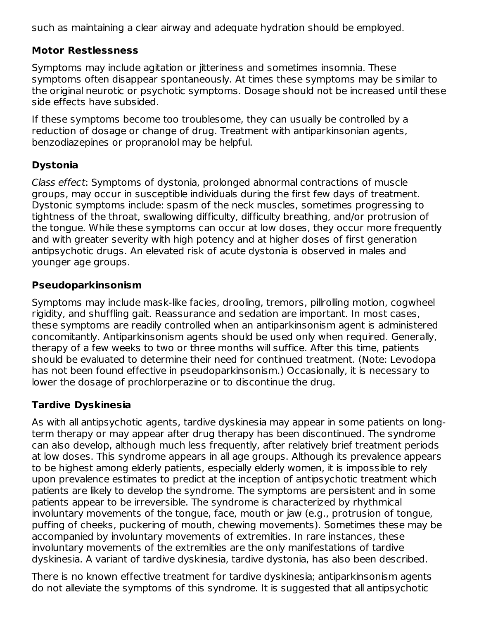such as maintaining a clear airway and adequate hydration should be employed.

## **Motor Restlessness**

Symptoms may include agitation or jitteriness and sometimes insomnia. These symptoms often disappear spontaneously. At times these symptoms may be similar to the original neurotic or psychotic symptoms. Dosage should not be increased until these side effects have subsided.

If these symptoms become too troublesome, they can usually be controlled by a reduction of dosage or change of drug. Treatment with antiparkinsonian agents, benzodiazepines or propranolol may be helpful.

## **Dystonia**

Class effect: Symptoms of dystonia, prolonged abnormal contractions of muscle groups, may occur in susceptible individuals during the first few days of treatment. Dystonic symptoms include: spasm of the neck muscles, sometimes progressing to tightness of the throat, swallowing difficulty, difficulty breathing, and/or protrusion of the tongue. While these symptoms can occur at low doses, they occur more frequently and with greater severity with high potency and at higher doses of first generation antipsychotic drugs. An elevated risk of acute dystonia is observed in males and younger age groups.

## **Pseudoparkinsonism**

Symptoms may include mask-like facies, drooling, tremors, pillrolling motion, cogwheel rigidity, and shuffling gait. Reassurance and sedation are important. In most cases, these symptoms are readily controlled when an antiparkinsonism agent is administered concomitantly. Antiparkinsonism agents should be used only when required. Generally, therapy of a few weeks to two or three months will suffice. After this time, patients should be evaluated to determine their need for continued treatment. (Note: Levodopa has not been found effective in pseudoparkinsonism.) Occasionally, it is necessary to lower the dosage of prochlorperazine or to discontinue the drug.

# **Tardive Dyskinesia**

As with all antipsychotic agents, tardive dyskinesia may appear in some patients on longterm therapy or may appear after drug therapy has been discontinued. The syndrome can also develop, although much less frequently, after relatively brief treatment periods at low doses. This syndrome appears in all age groups. Although its prevalence appears to be highest among elderly patients, especially elderly women, it is impossible to rely upon prevalence estimates to predict at the inception of antipsychotic treatment which patients are likely to develop the syndrome. The symptoms are persistent and in some patients appear to be irreversible. The syndrome is characterized by rhythmical involuntary movements of the tongue, face, mouth or jaw (e.g., protrusion of tongue, puffing of cheeks, puckering of mouth, chewing movements). Sometimes these may be accompanied by involuntary movements of extremities. In rare instances, these involuntary movements of the extremities are the only manifestations of tardive dyskinesia. A variant of tardive dyskinesia, tardive dystonia, has also been described.

There is no known effective treatment for tardive dyskinesia; antiparkinsonism agents do not alleviate the symptoms of this syndrome. It is suggested that all antipsychotic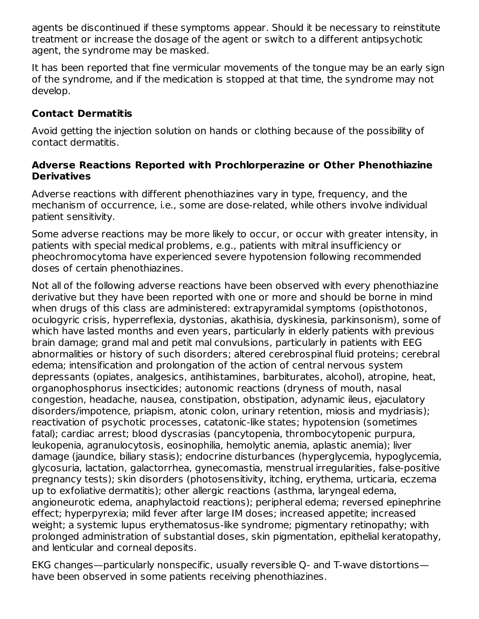agents be discontinued if these symptoms appear. Should it be necessary to reinstitute treatment or increase the dosage of the agent or switch to a different antipsychotic agent, the syndrome may be masked.

It has been reported that fine vermicular movements of the tongue may be an early sign of the syndrome, and if the medication is stopped at that time, the syndrome may not develop.

## **Contact Dermatitis**

Avoid getting the injection solution on hands or clothing because of the possibility of contact dermatitis.

#### **Adverse Reactions Reported with Prochlorperazine or Other Phenothiazine Derivatives**

Adverse reactions with different phenothiazines vary in type, frequency, and the mechanism of occurrence, i.e., some are dose-related, while others involve individual patient sensitivity.

Some adverse reactions may be more likely to occur, or occur with greater intensity, in patients with special medical problems, e.g., patients with mitral insufficiency or pheochromocytoma have experienced severe hypotension following recommended doses of certain phenothiazines.

Not all of the following adverse reactions have been observed with every phenothiazine derivative but they have been reported with one or more and should be borne in mind when drugs of this class are administered: extrapyramidal symptoms (opisthotonos, oculogyric crisis, hyperreflexia, dystonias, akathisia, dyskinesia, parkinsonism), some of which have lasted months and even years, particularly in elderly patients with previous brain damage; grand mal and petit mal convulsions, particularly in patients with EEG abnormalities or history of such disorders; altered cerebrospinal fluid proteins; cerebral edema; intensification and prolongation of the action of central nervous system depressants (opiates, analgesics, antihistamines, barbiturates, alcohol), atropine, heat, organophosphorus insecticides; autonomic reactions (dryness of mouth, nasal congestion, headache, nausea, constipation, obstipation, adynamic ileus, ejaculatory disorders/impotence, priapism, atonic colon, urinary retention, miosis and mydriasis); reactivation of psychotic processes, catatonic-like states; hypotension (sometimes fatal); cardiac arrest; blood dyscrasias (pancytopenia, thrombocytopenic purpura, leukopenia, agranulocytosis, eosinophilia, hemolytic anemia, aplastic anemia); liver damage (jaundice, biliary stasis); endocrine disturbances (hyperglycemia, hypoglycemia, glycosuria, lactation, galactorrhea, gynecomastia, menstrual irregularities, false-positive pregnancy tests); skin disorders (photosensitivity, itching, erythema, urticaria, eczema up to exfoliative dermatitis); other allergic reactions (asthma, laryngeal edema, angioneurotic edema, anaphylactoid reactions); peripheral edema; reversed epinephrine effect; hyperpyrexia; mild fever after large IM doses; increased appetite; increased weight; a systemic lupus erythematosus-like syndrome; pigmentary retinopathy; with prolonged administration of substantial doses, skin pigmentation, epithelial keratopathy, and lenticular and corneal deposits.

EKG changes—particularly nonspecific, usually reversible Q- and T-wave distortions have been observed in some patients receiving phenothiazines.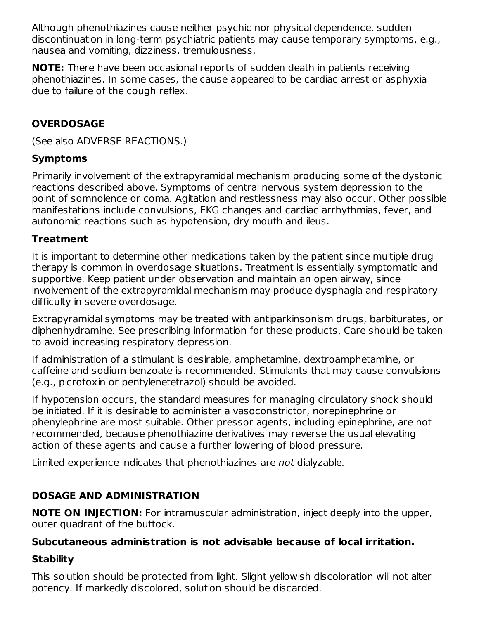Although phenothiazines cause neither psychic nor physical dependence, sudden discontinuation in long-term psychiatric patients may cause temporary symptoms, e.g., nausea and vomiting, dizziness, tremulousness.

**NOTE:** There have been occasional reports of sudden death in patients receiving phenothiazines. In some cases, the cause appeared to be cardiac arrest or asphyxia due to failure of the cough reflex.

# **OVERDOSAGE**

(See also ADVERSE REACTIONS.)

## **Symptoms**

Primarily involvement of the extrapyramidal mechanism producing some of the dystonic reactions described above. Symptoms of central nervous system depression to the point of somnolence or coma. Agitation and restlessness may also occur. Other possible manifestations include convulsions, EKG changes and cardiac arrhythmias, fever, and autonomic reactions such as hypotension, dry mouth and ileus.

#### **Treatment**

It is important to determine other medications taken by the patient since multiple drug therapy is common in overdosage situations. Treatment is essentially symptomatic and supportive. Keep patient under observation and maintain an open airway, since involvement of the extrapyramidal mechanism may produce dysphagia and respiratory difficulty in severe overdosage.

Extrapyramidal symptoms may be treated with antiparkinsonism drugs, barbiturates, or diphenhydramine. See prescribing information for these products. Care should be taken to avoid increasing respiratory depression.

If administration of a stimulant is desirable, amphetamine, dextroamphetamine, or caffeine and sodium benzoate is recommended. Stimulants that may cause convulsions (e.g., picrotoxin or pentylenetetrazol) should be avoided.

If hypotension occurs, the standard measures for managing circulatory shock should be initiated. If it is desirable to administer a vasoconstrictor, norepinephrine or phenylephrine are most suitable. Other pressor agents, including epinephrine, are not recommended, because phenothiazine derivatives may reverse the usual elevating action of these agents and cause a further lowering of blood pressure.

Limited experience indicates that phenothiazines are not dialyzable.

# **DOSAGE AND ADMINISTRATION**

**NOTE ON INJECTION:** For intramuscular administration, inject deeply into the upper, outer quadrant of the buttock.

#### **Subcutaneous administration is not advisable because of local irritation.**

#### **Stability**

This solution should be protected from light. Slight yellowish discoloration will not alter potency. If markedly discolored, solution should be discarded.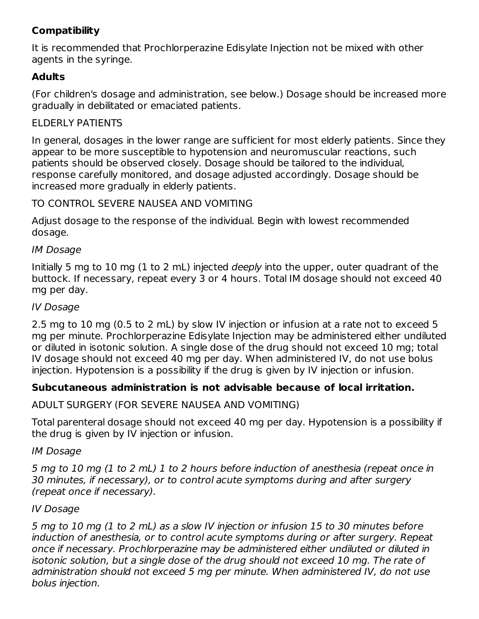## **Compatibility**

It is recommended that Prochlorperazine Edisylate Injection not be mixed with other agents in the syringe.

# **Adults**

(For children's dosage and administration, see below.) Dosage should be increased more gradually in debilitated or emaciated patients.

## ELDERLY PATIENTS

In general, dosages in the lower range are sufficient for most elderly patients. Since they appear to be more susceptible to hypotension and neuromuscular reactions, such patients should be observed closely. Dosage should be tailored to the individual, response carefully monitored, and dosage adjusted accordingly. Dosage should be increased more gradually in elderly patients.

## TO CONTROL SEVERE NAUSEA AND VOMITING

Adjust dosage to the response of the individual. Begin with lowest recommended dosage.

## IM Dosage

Initially 5 mg to 10 mg (1 to 2 mL) injected deeply into the upper, outer quadrant of the buttock. If necessary, repeat every 3 or 4 hours. Total IM dosage should not exceed 40 mg per day.

## IV Dosage

2.5 mg to 10 mg (0.5 to 2 mL) by slow IV injection or infusion at a rate not to exceed 5 mg per minute. Prochlorperazine Edisylate Injection may be administered either undiluted or diluted in isotonic solution. A single dose of the drug should not exceed 10 mg; total IV dosage should not exceed 40 mg per day. When administered IV, do not use bolus injection. Hypotension is a possibility if the drug is given by IV injection or infusion.

# **Subcutaneous administration is not advisable because of local irritation.**

# ADULT SURGERY (FOR SEVERE NAUSEA AND VOMITING)

Total parenteral dosage should not exceed 40 mg per day. Hypotension is a possibility if the drug is given by IV injection or infusion.

# IM Dosage

5 mg to 10 mg (1 to 2 mL) 1 to 2 hours before induction of anesthesia (repeat once in 30 minutes, if necessary), or to control acute symptoms during and after surgery (repeat once if necessary).

## IV Dosage

5 mg to 10 mg (1 to 2 mL) as a slow IV injection or infusion 15 to 30 minutes before induction of anesthesia, or to control acute symptoms during or after surgery. Repeat once if necessary. Prochlorperazine may be administered either undiluted or diluted in isotonic solution, but a single dose of the drug should not exceed 10 mg. The rate of administration should not exceed 5 mg per minute. When administered IV, do not use bolus injection.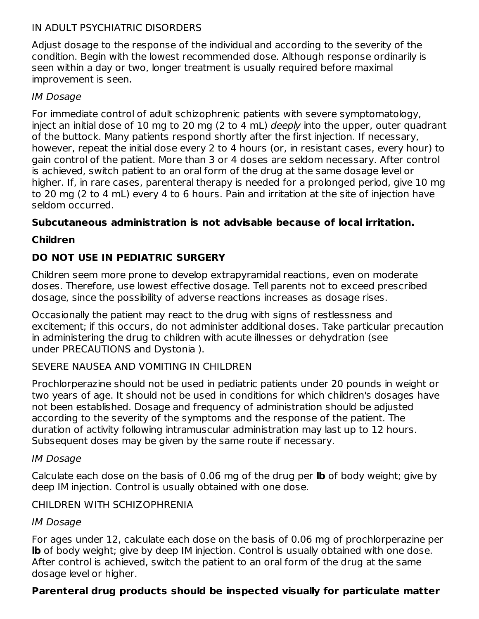#### IN ADULT PSYCHIATRIC DISORDERS

Adjust dosage to the response of the individual and according to the severity of the condition. Begin with the lowest recommended dose. Although response ordinarily is seen within a day or two, longer treatment is usually required before maximal improvement is seen.

#### IM Dosage

For immediate control of adult schizophrenic patients with severe symptomatology, inject an initial dose of 10 mg to 20 mg (2 to 4 mL) *deeply* into the upper, outer quadrant of the buttock. Many patients respond shortly after the first injection. If necessary, however, repeat the initial dose every 2 to 4 hours (or, in resistant cases, every hour) to gain control of the patient. More than 3 or 4 doses are seldom necessary. After control is achieved, switch patient to an oral form of the drug at the same dosage level or higher. If, in rare cases, parenteral therapy is needed for a prolonged period, give 10 mg to 20 mg (2 to 4 mL) every 4 to 6 hours. Pain and irritation at the site of injection have seldom occurred.

## **Subcutaneous administration is not advisable because of local irritation.**

## **Children**

# **DO NOT USE IN PEDIATRIC SURGERY**

Children seem more prone to develop extrapyramidal reactions, even on moderate doses. Therefore, use lowest effective dosage. Tell parents not to exceed prescribed dosage, since the possibility of adverse reactions increases as dosage rises.

Occasionally the patient may react to the drug with signs of restlessness and excitement; if this occurs, do not administer additional doses. Take particular precaution in administering the drug to children with acute illnesses or dehydration (see under PRECAUTIONS and Dystonia ).

## SEVERE NAUSEA AND VOMITING IN CHILDREN

Prochlorperazine should not be used in pediatric patients under 20 pounds in weight or two years of age. It should not be used in conditions for which children's dosages have not been established. Dosage and frequency of administration should be adjusted according to the severity of the symptoms and the response of the patient. The duration of activity following intramuscular administration may last up to 12 hours. Subsequent doses may be given by the same route if necessary.

#### IM Dosage

Calculate each dose on the basis of 0.06 mg of the drug per **lb** of body weight; give by deep IM injection. Control is usually obtained with one dose.

#### CHILDREN WITH SCHIZOPHRENIA

#### IM Dosage

For ages under 12, calculate each dose on the basis of 0.06 mg of prochlorperazine per **lb** of body weight; give by deep IM injection. Control is usually obtained with one dose. After control is achieved, switch the patient to an oral form of the drug at the same dosage level or higher.

## **Parenteral drug products should be inspected visually for particulate matter**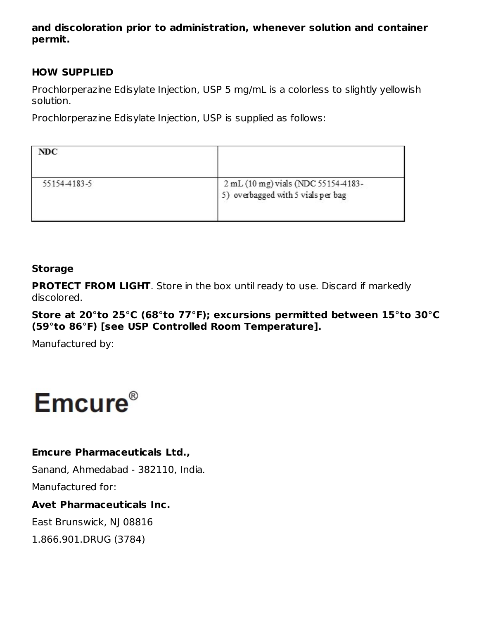**and discoloration prior to administration, whenever solution and container permit.**

#### **HOW SUPPLIED**

Prochlorperazine Edisylate Injection, USP 5 mg/mL is a colorless to slightly yellowish solution.

Prochlorperazine Edisylate Injection, USP is supplied as follows:

| <b>NDC</b>   |                                                                           |
|--------------|---------------------------------------------------------------------------|
| 55154-4183-5 | 2 mL (10 mg) vials (NDC 55154-4183-<br>5) overbagged with 5 vials per bag |

#### **Storage**

**PROTECT FROM LIGHT**. Store in the box until ready to use. Discard if markedly discolored.

#### **Store at 20**°**to 25**°**C (68**°**to 77**°**F); excursions permitted between 15**°**to 30**°**C (59**°**to 86**°**F) [see USP Controlled Room Temperature].**

Manufactured by:



## **Emcure Pharmaceuticals Ltd.,**

Sanand, Ahmedabad - 382110, India. Manufactured for:

## **Avet Pharmaceuticals Inc.**

East Brunswick, NJ 08816

1.866.901.DRUG (3784)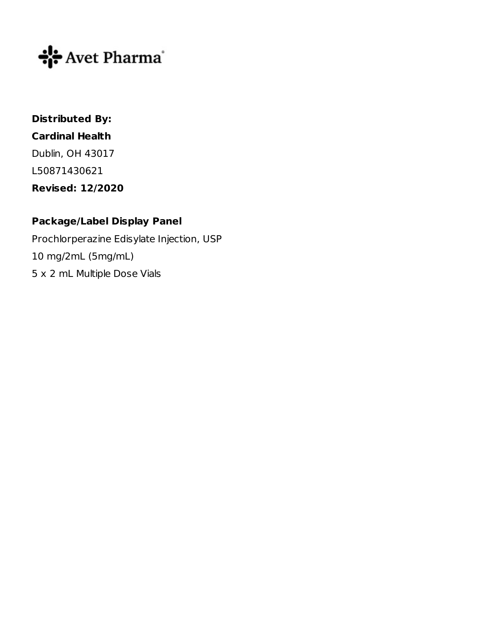

# **Distributed By: Cardinal Health**

Dublin, OH 43017

L50871430621

**Revised: 12/2020**

# **Package/Label Display Panel**

Prochlorperazine Edisylate Injection, USP 10 mg/2mL (5mg/mL) 5 x 2 mL Multiple Dose Vials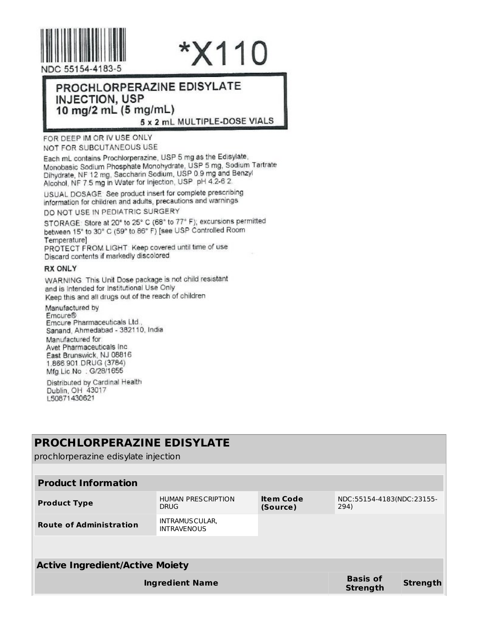

# \*X110

NDC 55154-4183-5

# PROCHLORPERAZINE EDISYLATE **INJECTION, USP** 10 mg/2 mL (5 mg/mL)

5 x 2 mL MULTIPLE-DOSE VIALS

FOR DEEP IM OR IV USE ONLY NOT FOR SUBCUTANEOUS USE

Each mL contains Prochlorperazine, USP 5 mg as the Edisylate, Monobasic Sodium Phosphate Monohydrate, USP 5 mg, Sodium Tartrate Dihydrate, NF 12 mg, Saccharin Sodium, USP 0.9 mg and Benzyl Alcohol, NF 7.5 mg in Water for Injection, USP pH 4.2-6 2.

USUAL DOSAGE: See product insert for complete prescribing information for children and adults, precautions and warnings

DO NOT USE IN PEDIATRIC SURGERY

STORAGE: Store at 20° to 25° C (68° to 77° F); excursions permitted between 15° to 30° C (59° to 86° F) [see USP Controlled Room Temperature] PROTECT FROM LIGHT Keep covered until time of use

Discard contents if markedly discolored

#### **RX ONLY**

WARNING This Unit Dose package is not child resistant and is Intended for Institutional Use Only Keep this and all drugs out of the reach of children

Manufactured by Emcure® Emcure Pharmaceuticals Ltd., Sanand, Ahmedabad - 382110, India Manufactured for Avet Pharmaceuticals Inc. East Brunswick, NJ 08816 1,866.901.DRUG (3784) Mfg.Lic.No : G/28/1655

Distributed by Cardinal Health Dublin, OH 43017 L50871430621

# **PROCHLORPERAZINE EDISYLATE**

prochlorperazine edisylate injection

| <b>Product Information</b>             |                                          |                              |                                    |                 |  |  |  |  |
|----------------------------------------|------------------------------------------|------------------------------|------------------------------------|-----------------|--|--|--|--|
| <b>Product Type</b>                    | <b>HUMAN PRESCRIPTION</b><br><b>DRUG</b> | <b>Item Code</b><br>(Source) | NDC:55154-4183(NDC:23155-<br>294)  |                 |  |  |  |  |
| <b>Route of Administration</b>         | INTRAMUS CULAR,<br><b>INTRAVENOUS</b>    |                              |                                    |                 |  |  |  |  |
|                                        |                                          |                              |                                    |                 |  |  |  |  |
| <b>Active Ingredient/Active Moiety</b> |                                          |                              |                                    |                 |  |  |  |  |
| <b>Ingredient Name</b>                 |                                          |                              | <b>Basis of</b><br><b>Strength</b> | <b>Strength</b> |  |  |  |  |